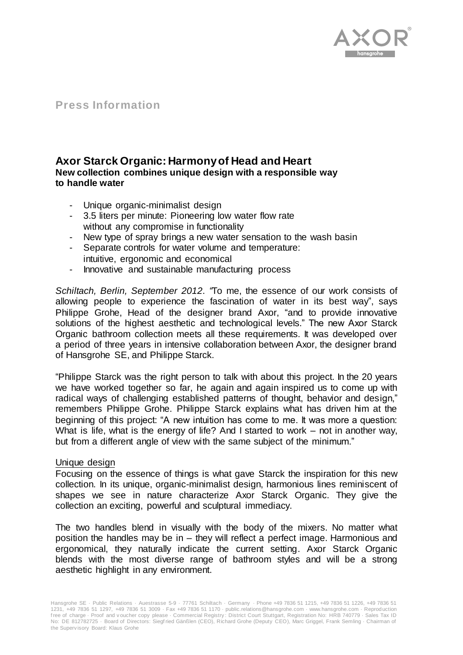

# **Press Information**

# **Axor Starck Organic: Harmony of Head and Heart New collection combines unique design with a responsible way to handle water**

- Unique organic-minimalist design
- 3.5 liters per minute: Pioneering low water flow rate without any compromise in functionality
- New type of spray brings a new water sensation to the wash basin
- Separate controls for water volume and temperature: intuitive, ergonomic and economical
- Innovative and sustainable manufacturing process

*Schiltach, Berlin, September 2012*. *"*To me, the essence of our work consists of allowing people to experience the fascination of water in its best way", says Philippe Grohe, Head of the designer brand Axor, "and to provide innovative solutions of the highest aesthetic and technological levels." The new Axor Starck Organic bathroom collection meets all these requirements. It was developed over a period of three years in intensive collaboration between Axor, the designer brand of Hansgrohe SE, and Philippe Starck.

"Philippe Starck was the right person to talk with about this project. In the 20 years we have worked together so far, he again and again inspired us to come up with radical ways of challenging established patterns of thought, behavior and design," remembers Philippe Grohe. Philippe Starck explains what has driven him at the beginning of this project: "A new intuition has come to me. It was more a question: What is life, what is the energy of life? And I started to work – not in another way, but from a different angle of view with the same subject of the minimum."

### Unique design

Focusing on the essence of things is what gave Starck the inspiration for this new collection. In its unique, organic-minimalist design, harmonious lines reminiscent of shapes we see in nature characterize Axor Starck Organic. They give the collection an exciting, powerful and sculptural immediacy.

The two handles blend in visually with the body of the mixers. No matter what position the handles may be in – they will reflect a perfect image. Harmonious and ergonomical, they naturally indicate the current setting. Axor Starck Organic blends with the most diverse range of bathroom styles and will be a strong aesthetic highlight in any environment.

Hansgrohe SE · Public Relations · Auestrasse 5-9 · 77761 Schiltach · Germany · Phone +49 7836 51 1215, +49 7836 51 1226, +49 7836 51 1231, +49 7836 51 1297, +49 7836 51 3009 · Fax +49 7836 51 1170 · public.relations@hansgrohe.com · www.hansgrohe.com · Reproduction f ree of charge · Proof and v oucher copy please · Commercial Registry : District Court Stuttgart, Registration No: HRB 740779 · Sales Tax ID No: DE 812782725 · Board of Directors: Siegf ried Gänßlen (CEO), Richard Grohe (Deputy CEO), Marc Griggel, Frank Semling · Chairman of the Superv isory Board: Klaus Grohe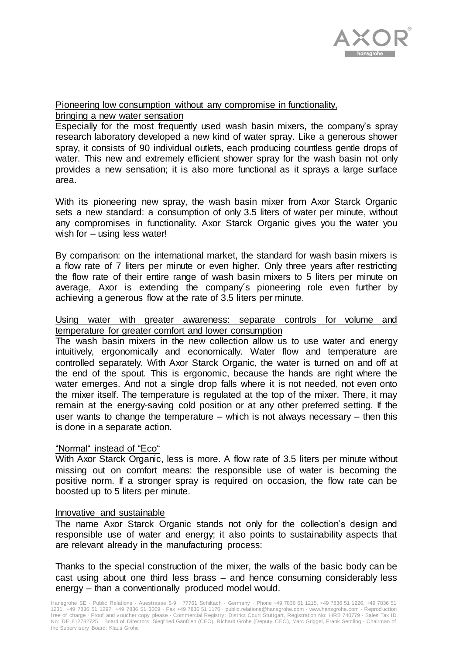

Pioneering low consumption without any compromise in functionality,

bringing a new water sensation

Especially for the most frequently used wash basin mixers, the company's spray research laboratory developed a new kind of water spray. Like a generous shower spray, it consists of 90 individual outlets, each producing countless gentle drops of water. This new and extremely efficient shower spray for the wash basin not only provides a new sensation; it is also more functional as it sprays a large surface area.

With its pioneering new spray, the wash basin mixer from Axor Starck Organic sets a new standard: a consumption of only 3.5 liters of water per minute, without any compromises in functionality. Axor Starck Organic gives you the water you wish for – using less water!

By comparison: on the international market, the standard for wash basin mixers is a flow rate of 7 liters per minute or even higher. Only three years after restricting the flow rate of their entire range of wash basin mixers to 5 liters per minute on average, Axor is extending the company´s pioneering role even further by achieving a generous flow at the rate of 3.5 liters per minute.

## Using water with greater awareness: separate controls for volume and temperature for greater comfort and lower consumption

The wash basin mixers in the new collection allow us to use water and energy intuitively, ergonomically and economically. Water flow and temperature are controlled separately. With Axor Starck Organic, the water is turned on and off at the end of the spout. This is ergonomic, because the hands are right where the water emerges. And not a single drop falls where it is not needed, not even onto the mixer itself. The temperature is regulated at the top of the mixer. There, it may remain at the energy-saving cold position or at any other preferred setting. If the user wants to change the temperature – which is not always necessary – then this is done in a separate action.

# "Normal" instead of "Eco"

With Axor Starck Organic, less is more. A flow rate of 3.5 liters per minute without missing out on comfort means: the responsible use of water is becoming the positive norm. If a stronger spray is required on occasion, the flow rate can be boosted up to 5 liters per minute.

### Innovative and sustainable

The name Axor Starck Organic stands not only for the collection's design and responsible use of water and energy; it also points to sustainability aspects that are relevant already in the manufacturing process:

Thanks to the special construction of the mixer, the walls of the basic body can be cast using about one third less brass – and hence consuming considerably less energy – than a conventionally produced model would.

Hansgrohe SE · Public Relations · Auestrasse 5-9 · 77761 Schiltach · Germany · Phone +49 7836 51 1215, +49 7836 51 1226, +49 7836 51 1231, +49 7836 51 1297, +49 7836 51 3009 · Fax +49 7836 51 1170 · public.relations@hansgrohe.com · www.hansgrohe.com · Reproduction f ree of charge · Proof and v oucher copy please · Commercial Registry : District Court Stuttgart, Registration No: HRB 740779 · Sales Tax ID No: DE 812782725 · Board of Directors: Siegf ried Gänßlen (CEO), Richard Grohe (Deputy CEO), Marc Griggel, Frank Semling · Chairman of the Superv isory Board: Klaus Grohe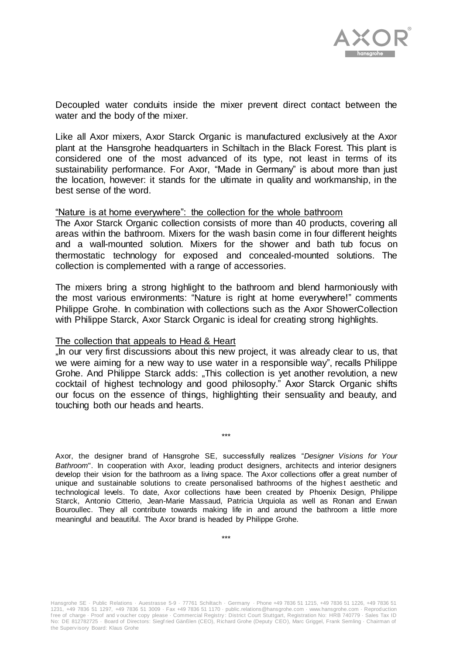

Decoupled water conduits inside the mixer prevent direct contact between the water and the body of the mixer.

Like all Axor mixers, Axor Starck Organic is manufactured exclusively at the Axor plant at the Hansgrohe headquarters in Schiltach in the Black Forest. This plant is considered one of the most advanced of its type, not least in terms of its sustainability performance. For Axor, "Made in Germany" is about more than just the location, however: it stands for the ultimate in quality and workmanship, in the best sense of the word.

#### "Nature is at home everywhere": the collection for the whole bathroom

The Axor Starck Organic collection consists of more than 40 products, covering all areas within the bathroom. Mixers for the wash basin come in four different heights and a wall-mounted solution. Mixers for the shower and bath tub focus on thermostatic technology for exposed and concealed-mounted solutions. The collection is complemented with a range of accessories.

The mixers bring a strong highlight to the bathroom and blend harmoniously with the most various environments: "Nature is right at home everywhere!" comments Philippe Grohe. In combination with collections such as the Axor ShowerCollection with Philippe Starck, Axor Starck Organic is ideal for creating strong highlights.

#### The collection that appeals to Head & Heart

"In our very first discussions about this new project, it was already clear to us, that we were aiming for a new way to use water in a responsible way", recalls Philippe Grohe. And Philippe Starck adds: "This collection is yet another revolution, a new cocktail of highest technology and good philosophy." Axor Starck Organic shifts our focus on the essence of things, highlighting their sensuality and beauty, and touching both our heads and hearts.

\*\*\*

Axor, the designer brand of Hansgrohe SE, successfully realizes "*Designer Visions for Your Bathroom*". In cooperation with Axor, leading product designers, architects and interior designers develop their vision for the bathroom as a living space. The Axor collections offer a great number of unique and sustainable solutions to create personalised bathrooms of the highest aesthetic and technological levels. To date, Axor collections have been created by Phoenix Design, Philippe Starck, Antonio Citterio, Jean-Marie Massaud, Patricia Urquiola as well as Ronan and Erwan Bouroullec. They all contribute towards making life in and around the bathroom a little more meaningful and beautiful. The Axor brand is headed by Philippe Grohe.

\*\*\*

Hansgrohe SE · Public Relations · Auestrasse 5-9 · 77761 Schiltach · Germany · Phone +49 7836 51 1215, +49 7836 51 1226, +49 7836 51 1231, +49 7836 51 1297, +49 7836 51 3009 · Fax +49 7836 51 1170 · public.relations@hansgrohe.com · www.hansgrohe.com · Reproduction f ree of charge · Proof and v oucher copy please · Commercial Registry : District Court Stuttgart, Registration No: HRB 740779 · Sales Tax ID No: DE 812782725 · Board of Directors: Siegf ried Gänßlen (CEO), Richard Grohe (Deputy CEO), Marc Griggel, Frank Semling · Chairman of the Superv isory Board: Klaus Grohe